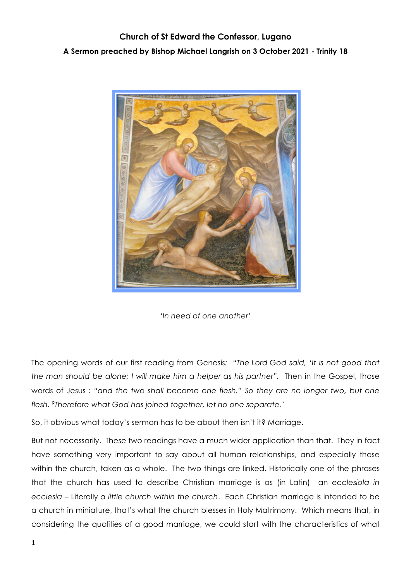## **Church of St Edward the Confessor, Lugano A Sermon preached by Bishop Michael Langrish on 3 October 2021 - Trinity 18**





The opening words of our first reading from Genesis*: "The Lord God said, 'It is not good that the man should be alone; I will make him a helper as his partner".* Then in the Gospel, those words of Jesus *: "and the two shall become one flesh." So they are no longer two, but one flesh. 9Therefore what God has joined together, let no one separate.'*

So, it obvious what today's sermon has to be about then isn't it? Marriage.

But not necessarily. These two readings have a much wider application than that. They in fact have something very important to say about all human relationships, and especially those within the church, taken as a whole. The two things are linked. Historically one of the phrases that the church has used to describe Christian marriage is as (in Latin) an *ecclesiola in ecclesia –* Literally *a little church within the church*. Each Christian marriage is intended to be a church in miniature, that's what the church blesses in Holy Matrimony. Which means that, in considering the qualities of a good marriage, we could start with the characteristics of what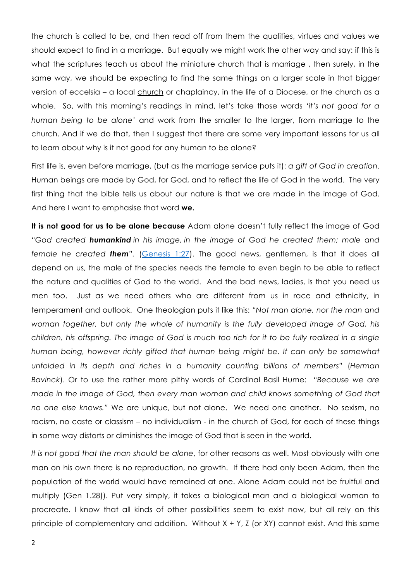the church is called to be, and then read off from them the qualities, virtues and values we should expect to find in a marriage. But equally we might work the other way and say: if this is what the scriptures teach us about the miniature church that is marriage, then surely, in the same way, we should be expecting to find the same things on a larger scale in that bigger version of eccelsia – a local church or chaplaincy, in the life of a Diocese, or the church as a whole. So, with this morning's readings in mind, let's take those words *'it's not good for a human being to be alone'* and work from the smaller to the larger, from marriage to the church. And if we do that, then I suggest that there are some very important lessons for us all to learn about why is it not good for any human to be alone?

First life is, even before marriage, (but as the marriage service puts it): *a gift of God in creation*. Human beings are made by God, for God, and to reflect the life of God in the world. The very first thing that the bible tells us about our nature is that we are made in the image of God. And here I want to emphasise that word **we.** 

**It is not good for us to be alone because** Adam alone doesn't fully reflect the image of God *"God created humankind in his image, in the image of God he created them; male and female he created them".* (Genesis 1:27). The good news, gentlemen, is that it does all depend on us, the male of the species needs the female to even begin to be able to reflect the nature and qualities of God to the world. And the bad news, ladies, is that you need us men too. Just as we need others who are different from us in race and ethnicity, in temperament and outlook. One theologian puts it like this: *"Not man alone, nor the man and woman together, but only the whole of humanity is the fully developed image of God, his children, his offspring. The image of God is much too rich for it to be fully realized in a single human being, however richly gifted that human being might be. It can only be somewhat unfolded in its depth and riches in a humanity counting billions of members"* (*Herman Bavinck*). Or to use the rather more pithy words of Cardinal Basil Hume: *"Because we are made in the image of God, then every man woman and child knows something of God that no one else knows."* We are unique, but not alone. We need one another. No sexism, no racism, no caste or classism – no individualism - in the church of God, for each of these things in some way distorts or diminishes the image of God that is seen in the world.

*It is not good that the man should be alone*, for other reasons as well. Most obviously with one man on his own there is no reproduction, no growth. If there had only been Adam, then the population of the world would have remained at one. Alone Adam could not be fruitful and multiply (Gen 1.28)). Put very simply, it takes a biological man and a biological woman to procreate. I know that all kinds of other possibilities seem to exist now, but all rely on this principle of complementary and addition. Without  $X + Y$ , Z (or XY) cannot exist. And this same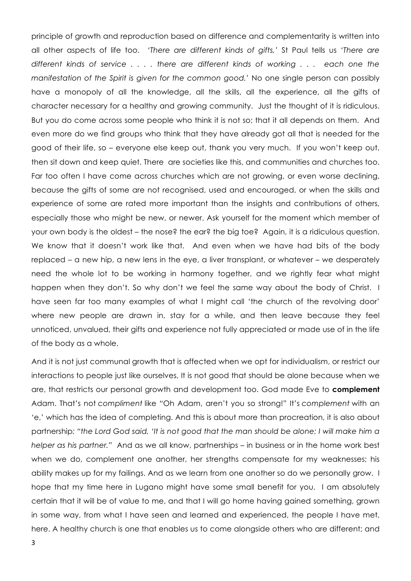principle of growth and reproduction based on difference and complementarity is written into all other aspects of life too. *'There are different kinds of gifts,'* St Paul tells us '*There are different kinds of service . . . . there are different kinds of working . . . each one the manifestation of the Spirit is given for the common good.*' No one single person can possibly have a monopoly of all the knowledge, all the skills, all the experience, all the gifts of character necessary for a healthy and growing community. Just the thought of it is ridiculous. But you do come across some people who think it is not so; that it all depends on them. And even more do we find groups who think that they have already got all that is needed for the good of their life, so – everyone else keep out, thank you very much. If you won't keep out, then sit down and keep quiet. There are societies like this, and communities and churches too. Far too often I have come across churches which are not growing, or even worse declining, because the gifts of some are not recognised, used and encouraged, or when the skills and experience of some are rated more important than the insights and contributions of others, especially those who might be new, or newer. Ask yourself for the moment which member of your own body is the oldest – the nose? the ear? the big toe? Again, it is a ridiculous question. We know that it doesn't work like that. And even when we have had bits of the body replaced – a new hip, a new lens in the eye, a liver transplant, or whatever – we desperately need the whole lot to be working in harmony together, and we rightly fear what might happen when they don't. So why don't we feel the same way about the body of Christ. I have seen far too many examples of what I might call 'the church of the revolving door' where new people are drawn in, stay for a while, and then leave because they feel unnoticed, unvalued, their gifts and experience not fully appreciated or made use of in the life of the body as a whole.

And it is not just communal growth that is affected when we opt for individualism, or restrict our interactions to people just like ourselves, It is not good that should be alone because when we are, that restricts our personal growth and development too. God made Eve to **complement** Adam. That's not *compliment* like "Oh Adam, aren't you so strong!" It's *complement* with an 'e,' which has the idea of completing. And this is about more than procreation, it is also about partnership*: "the Lord God said, 'It is not good that the man should be alone; I will make him a helper as his partner."* And as we all know, partnerships – in business or in the home work best when we do, complement one another, her strengths compensate for my weaknesses; his ability makes up for my failings. And as we learn from one another so do we personally grow. I hope that my time here in Lugano might have some small benefit for you. I am absolutely certain that it will be of value to me, and that I will go home having gained something, grown in some way, from what I have seen and learned and experienced, the people I have met, here. A healthy church is one that enables us to come alongside others who are different; and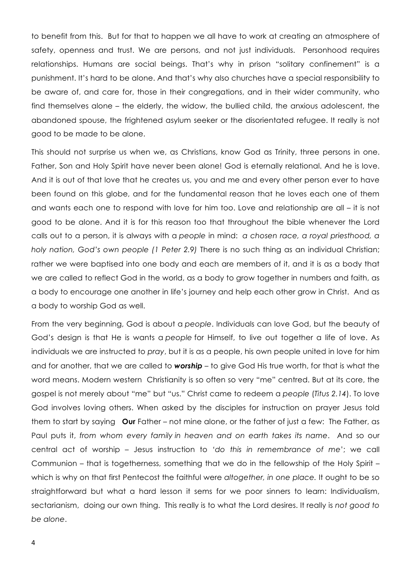to benefit from this. But for that to happen we all have to work at creating an atmosphere of safety, openness and trust. We are persons, and not just individuals. Personhood requires relationships. Humans are social beings. That's why in prison "solitary confinement" is a punishment. It's hard to be alone. And that's why also churches have a special responsibility to be aware of, and care for, those in their congregations, and in their wider community, who find themselves alone – the elderly, the widow, the bullied child, the anxious adolescent, the abandoned spouse, the frightened asylum seeker or the disorientated refugee. It really is not good to be made to be alone.

This should not surprise us when we, as Christians, know God as Trinity, three persons in one. Father, Son and Holy Spirit have never been alone! God is eternally relational. And he is love. And it is out of that love that he creates us, you and me and every other person ever to have been found on this globe, and for the fundamental reason that he loves each one of them and wants each one to respond with love for him too. Love and relationship are all – it is not good to be alone. And it is for this reason too that throughout the bible whenever the Lord calls out to a person, it is always with a *people* in mind: *a chosen race, a royal priesthood, a holy nation, God's own people (1 Peter 2.9)* There is no such thing as an individual Christian; rather we were baptised into one body and each are members of it, and it is as a body that we are called to reflect God in the world, as a body to grow together in numbers and faith, as a body to encourage one another in life's journey and help each other grow in Christ. And as a body to worship God as well.

From the very beginning, God is about a *people*. Individuals can love God, but the beauty of God's design is that He is wants a *people* for Himself, to live out together a life of love. As individuals we are instructed to *pray*, but it is as a people, his own people united in love for him and for another, that we are called to *worship –* to give God His true worth, for that is what the word means. Modern western Christianity is so often so very "me" centred. But at its core, the gospel is not merely about "me" but "us." Christ came to redeem a *people* (*Titus 2.14*). To love God involves loving others. When asked by the disciples for instruction on prayer Jesus told them to start by saying **Our** Father – not mine alone, or the father of just a few: The Father, as Paul puts it, *from whom every family in heaven and on earth takes its name*. And so our central act of worship – Jesus instruction to *'do this in remembrance of me*'; we call Communion – that is togetherness, something that we do in the fellowship of the Holy Spirit – which is why on that first Pentecost the faithful were *altogether, in one place.* It ought to be so straightforward but what a hard lesson it sems for we poor sinners to learn: Individualism, sectarianism, doing our own thing. This really is to what the Lord desires. It really is *not good to be alone*.